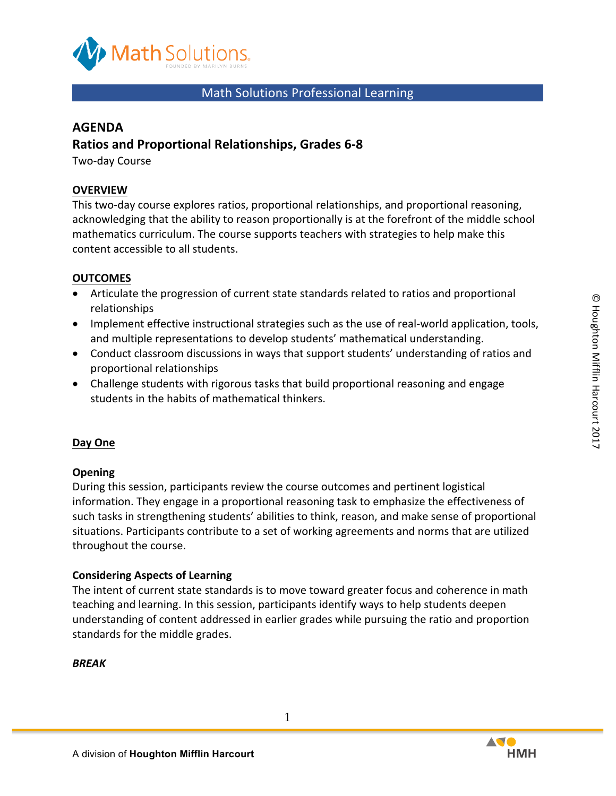

## Math Solutions Professional Learning

## **AGENDA**

## **Ratios and Proportional Relationships, Grades 6-8**

Two-day Course

#### **OVERVIEW**

This two-day course explores ratios, proportional relationships, and proportional reasoning, acknowledging that the ability to reason proportionally is at the forefront of the middle school mathematics curriculum. The course supports teachers with strategies to help make this content accessible to all students.

#### **OUTCOMES**

- Articulate the progression of current state standards related to ratios and proportional relationships
- Implement effective instructional strategies such as the use of real-world application, tools, and multiple representations to develop students' mathematical understanding.
- Conduct classroom discussions in ways that support students' understanding of ratios and proportional relationships
- Challenge students with rigorous tasks that build proportional reasoning and engage students in the habits of mathematical thinkers.

#### **Day One**

#### **Opening**

During this session, participants review the course outcomes and pertinent logistical information. They engage in a proportional reasoning task to emphasize the effectiveness of such tasks in strengthening students' abilities to think, reason, and make sense of proportional situations. Participants contribute to a set of working agreements and norms that are utilized throughout the course.

#### **Considering Aspects of Learning**

The intent of current state standards is to move toward greater focus and coherence in math teaching and learning. In this session, participants identify ways to help students deepen understanding of content addressed in earlier grades while pursuing the ratio and proportion standards for the middle grades.

#### *BREAK*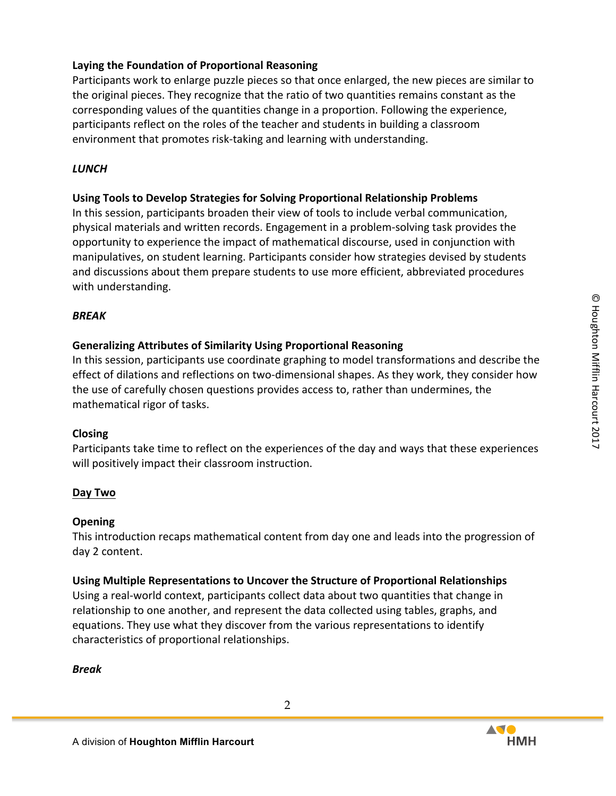### Laying the Foundation of Proportional Reasoning

Participants work to enlarge puzzle pieces so that once enlarged, the new pieces are similar to the original pieces. They recognize that the ratio of two quantities remains constant as the corresponding values of the quantities change in a proportion. Following the experience, participants reflect on the roles of the teacher and students in building a classroom environment that promotes risk-taking and learning with understanding.

#### *LUNCH*

### Using Tools to Develop Strategies for Solving Proportional Relationship Problems

In this session, participants broaden their view of tools to include verbal communication, physical materials and written records. Engagement in a problem-solving task provides the opportunity to experience the impact of mathematical discourse, used in conjunction with manipulatives, on student learning. Participants consider how strategies devised by students and discussions about them prepare students to use more efficient, abbreviated procedures with understanding.

#### *BREAK*

### **Generalizing Attributes of Similarity Using Proportional Reasoning**

In this session, participants use coordinate graphing to model transformations and describe the effect of dilations and reflections on two-dimensional shapes. As they work, they consider how the use of carefully chosen questions provides access to, rather than undermines, the mathematical rigor of tasks.

### **Closing**

Participants take time to reflect on the experiences of the day and ways that these experiences will positively impact their classroom instruction.

### **Day Two**

### **Opening**

This introduction recaps mathematical content from day one and leads into the progression of day 2 content.

### **Using Multiple Representations to Uncover the Structure of Proportional Relationships**

Using a real-world context, participants collect data about two quantities that change in relationship to one another, and represent the data collected using tables, graphs, and equations. They use what they discover from the various representations to identify characteristics of proportional relationships.

### *Break*

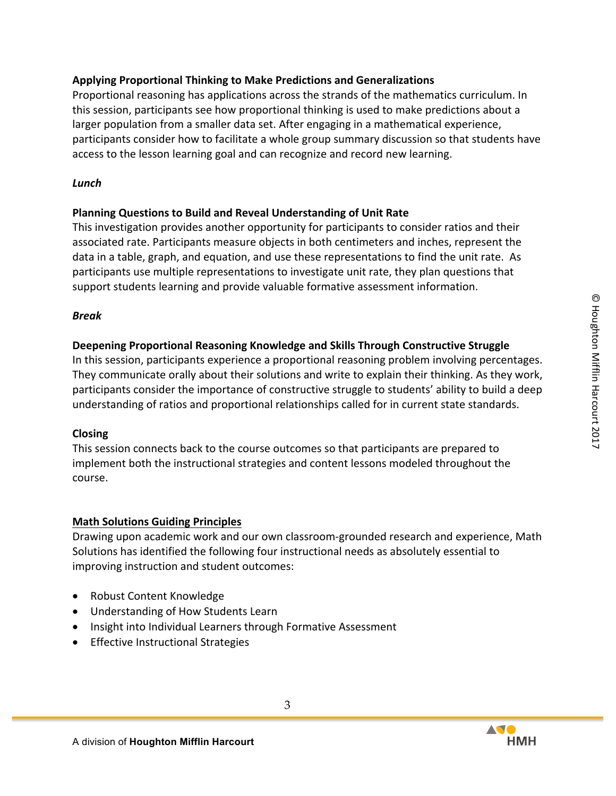### **Applying Proportional Thinking to Make Predictions and Generalizations**

Proportional reasoning has applications across the strands of the mathematics curriculum. In this session, participants see how proportional thinking is used to make predictions about a larger population from a smaller data set. After engaging in a mathematical experience, participants consider how to facilitate a whole group summary discussion so that students have access to the lesson learning goal and can recognize and record new learning.

### *Lunch*

## **Planning Questions to Build and Reveal Understanding of Unit Rate**

This investigation provides another opportunity for participants to consider ratios and their associated rate. Participants measure objects in both centimeters and inches, represent the data in a table, graph, and equation, and use these representations to find the unit rate. As participants use multiple representations to investigate unit rate, they plan questions that support students learning and provide valuable formative assessment information.

### *Break*

## **Deepening Proportional Reasoning Knowledge and Skills Through Constructive Struggle**

In this session, participants experience a proportional reasoning problem involving percentages. They communicate orally about their solutions and write to explain their thinking. As they work, participants consider the importance of constructive struggle to students' ability to build a deep understanding of ratios and proportional relationships called for in current state standards.

### **Closing**

This session connects back to the course outcomes so that participants are prepared to implement both the instructional strategies and content lessons modeled throughout the course.

# **Math Solutions Guiding Principles**

Drawing upon academic work and our own classroom-grounded research and experience, Math Solutions has identified the following four instructional needs as absolutely essential to improving instruction and student outcomes:

- Robust Content Knowledge
- Understanding of How Students Learn
- Insight into Individual Learners through Formative Assessment
- Effective Instructional Strategies



3